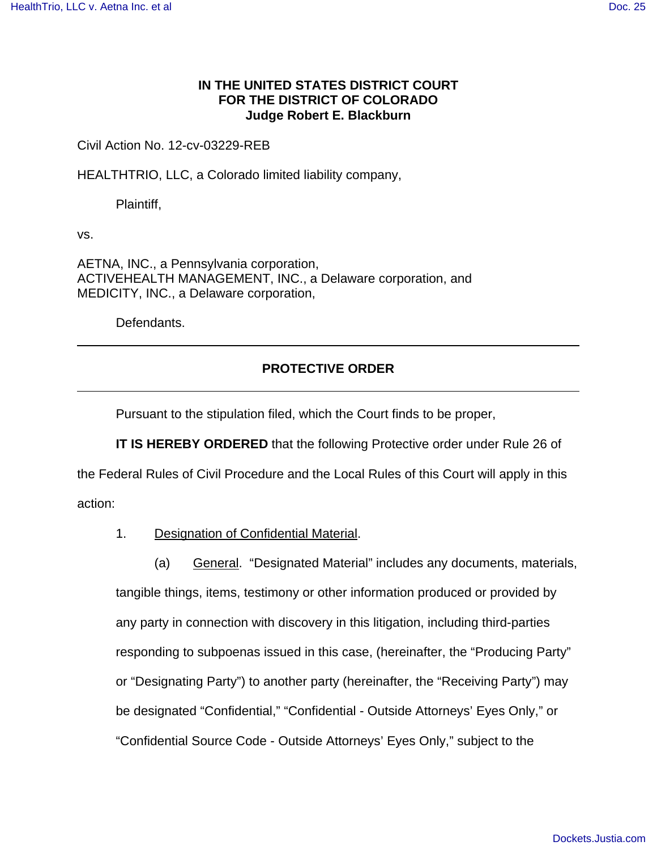## **IN THE UNITED STATES DISTRICT COURT FOR THE DISTRICT OF COLORADO Judge Robert E. Blackburn**

## Civil Action No. 12-cv-03229-REB

HEALTHTRIO, LLC, a Colorado limited liability company,

Plaintiff,

vs.

AETNA, INC., a Pennsylvania corporation, ACTIVEHEALTH MANAGEMENT, INC., a Delaware corporation, and MEDICITY, INC., a Delaware corporation,

Defendants.

## **PROTECTIVE ORDER**

Pursuant to the stipulation filed, which the Court finds to be proper,

**IT IS HEREBY ORDERED** that the following Protective order under Rule 26 of the Federal Rules of Civil Procedure and the Local Rules of this Court will apply in this action:

1. Designation of Confidential Material.

(a) General. "Designated Material" includes any documents, materials, tangible things, items, testimony or other information produced or provided by any party in connection with discovery in this litigation, including third-parties responding to subpoenas issued in this case, (hereinafter, the "Producing Party" or "Designating Party") to another party (hereinafter, the "Receiving Party") may be designated "Confidential," "Confidential - Outside Attorneys' Eyes Only," or "Confidential Source Code - Outside Attorneys' Eyes Only," subject to the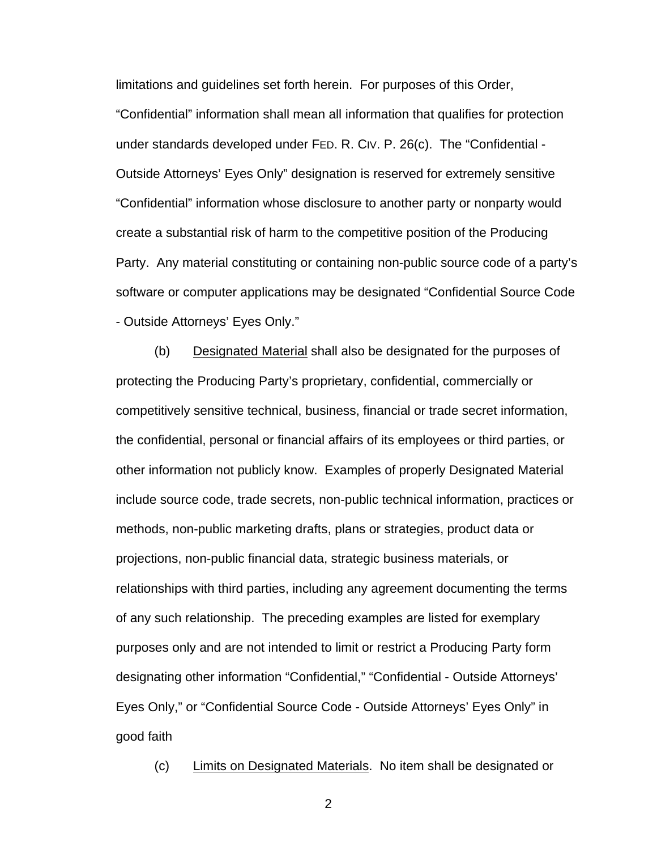limitations and guidelines set forth herein. For purposes of this Order, "Confidential" information shall mean all information that qualifies for protection under standards developed under FED. R. CIV. P. 26(c). The "Confidential - Outside Attorneys' Eyes Only" designation is reserved for extremely sensitive "Confidential" information whose disclosure to another party or nonparty would create a substantial risk of harm to the competitive position of the Producing Party. Any material constituting or containing non-public source code of a party's software or computer applications may be designated "Confidential Source Code - Outside Attorneys' Eyes Only."

(b) Designated Material shall also be designated for the purposes of protecting the Producing Party's proprietary, confidential, commercially or competitively sensitive technical, business, financial or trade secret information, the confidential, personal or financial affairs of its employees or third parties, or other information not publicly know. Examples of properly Designated Material include source code, trade secrets, non-public technical information, practices or methods, non-public marketing drafts, plans or strategies, product data or projections, non-public financial data, strategic business materials, or relationships with third parties, including any agreement documenting the terms of any such relationship. The preceding examples are listed for exemplary purposes only and are not intended to limit or restrict a Producing Party form designating other information "Confidential," "Confidential - Outside Attorneys' Eyes Only," or "Confidential Source Code - Outside Attorneys' Eyes Only" in good faith

(c) Limits on Designated Materials. No item shall be designated or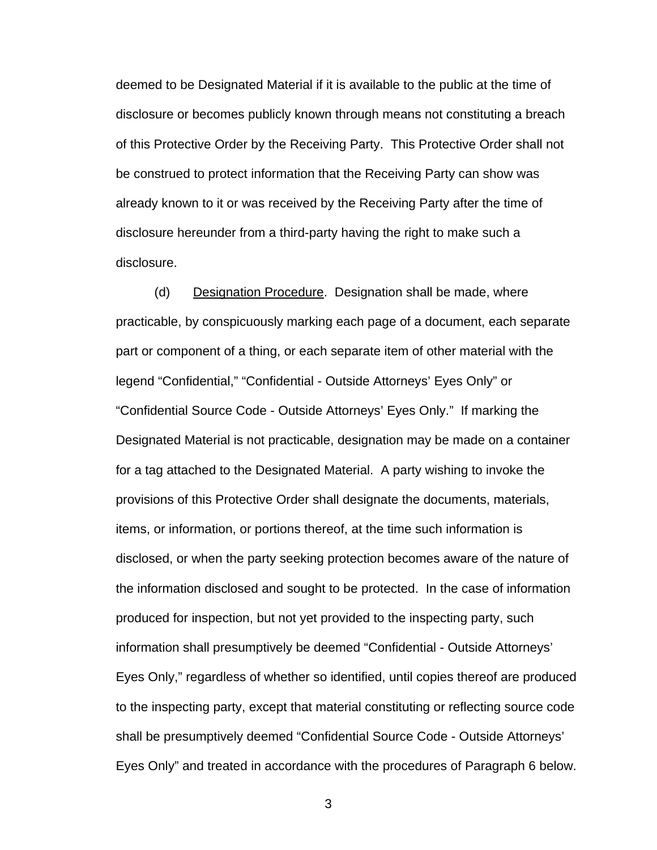deemed to be Designated Material if it is available to the public at the time of disclosure or becomes publicly known through means not constituting a breach of this Protective Order by the Receiving Party. This Protective Order shall not be construed to protect information that the Receiving Party can show was already known to it or was received by the Receiving Party after the time of disclosure hereunder from a third-party having the right to make such a disclosure.

(d) Designation Procedure. Designation shall be made, where practicable, by conspicuously marking each page of a document, each separate part or component of a thing, or each separate item of other material with the legend "Confidential," "Confidential - Outside Attorneys' Eyes Only" or "Confidential Source Code - Outside Attorneys' Eyes Only." If marking the Designated Material is not practicable, designation may be made on a container for a tag attached to the Designated Material. A party wishing to invoke the provisions of this Protective Order shall designate the documents, materials, items, or information, or portions thereof, at the time such information is disclosed, or when the party seeking protection becomes aware of the nature of the information disclosed and sought to be protected. In the case of information produced for inspection, but not yet provided to the inspecting party, such information shall presumptively be deemed "Confidential - Outside Attorneys' Eyes Only," regardless of whether so identified, until copies thereof are produced to the inspecting party, except that material constituting or reflecting source code shall be presumptively deemed "Confidential Source Code - Outside Attorneys' Eyes Only" and treated in accordance with the procedures of Paragraph 6 below.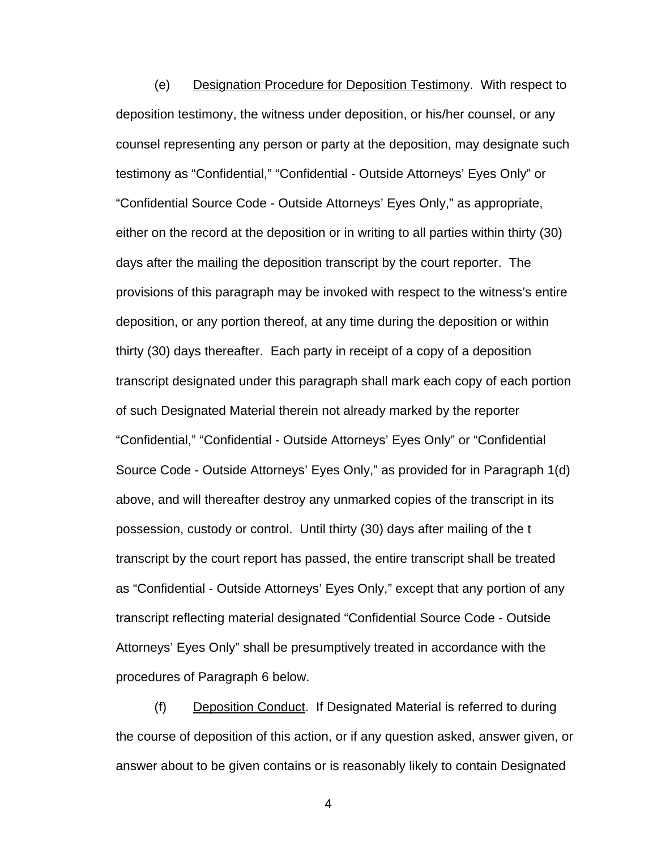(e) Designation Procedure for Deposition Testimony. With respect to deposition testimony, the witness under deposition, or his/her counsel, or any counsel representing any person or party at the deposition, may designate such testimony as "Confidential," "Confidential - Outside Attorneys' Eyes Only" or "Confidential Source Code - Outside Attorneys' Eyes Only," as appropriate, either on the record at the deposition or in writing to all parties within thirty (30) days after the mailing the deposition transcript by the court reporter. The provisions of this paragraph may be invoked with respect to the witness's entire deposition, or any portion thereof, at any time during the deposition or within thirty (30) days thereafter. Each party in receipt of a copy of a deposition transcript designated under this paragraph shall mark each copy of each portion of such Designated Material therein not already marked by the reporter "Confidential," "Confidential - Outside Attorneys' Eyes Only" or "Confidential Source Code - Outside Attorneys' Eyes Only," as provided for in Paragraph 1(d) above, and will thereafter destroy any unmarked copies of the transcript in its possession, custody or control. Until thirty (30) days after mailing of the t transcript by the court report has passed, the entire transcript shall be treated as "Confidential - Outside Attorneys' Eyes Only," except that any portion of any transcript reflecting material designated "Confidential Source Code - Outside Attorneys' Eyes Only" shall be presumptively treated in accordance with the procedures of Paragraph 6 below.

(f) Deposition Conduct. If Designated Material is referred to during the course of deposition of this action, or if any question asked, answer given, or answer about to be given contains or is reasonably likely to contain Designated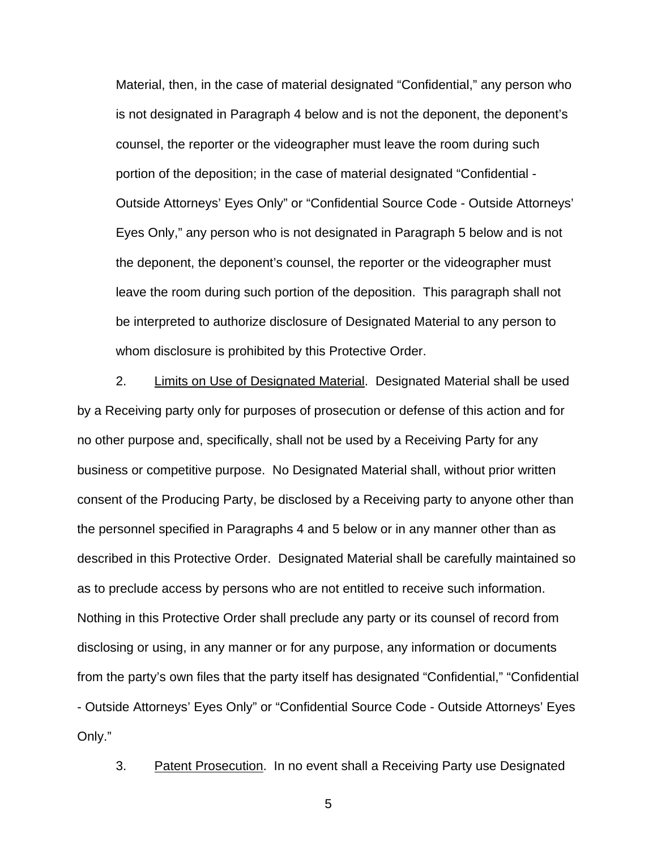Material, then, in the case of material designated "Confidential," any person who is not designated in Paragraph 4 below and is not the deponent, the deponent's counsel, the reporter or the videographer must leave the room during such portion of the deposition; in the case of material designated "Confidential - Outside Attorneys' Eyes Only" or "Confidential Source Code - Outside Attorneys' Eyes Only," any person who is not designated in Paragraph 5 below and is not the deponent, the deponent's counsel, the reporter or the videographer must leave the room during such portion of the deposition. This paragraph shall not be interpreted to authorize disclosure of Designated Material to any person to whom disclosure is prohibited by this Protective Order.

2. Limits on Use of Designated Material. Designated Material shall be used by a Receiving party only for purposes of prosecution or defense of this action and for no other purpose and, specifically, shall not be used by a Receiving Party for any business or competitive purpose. No Designated Material shall, without prior written consent of the Producing Party, be disclosed by a Receiving party to anyone other than the personnel specified in Paragraphs 4 and 5 below or in any manner other than as described in this Protective Order. Designated Material shall be carefully maintained so as to preclude access by persons who are not entitled to receive such information. Nothing in this Protective Order shall preclude any party or its counsel of record from disclosing or using, in any manner or for any purpose, any information or documents from the party's own files that the party itself has designated "Confidential," "Confidential - Outside Attorneys' Eyes Only" or "Confidential Source Code - Outside Attorneys' Eyes Only."

3. Patent Prosecution. In no event shall a Receiving Party use Designated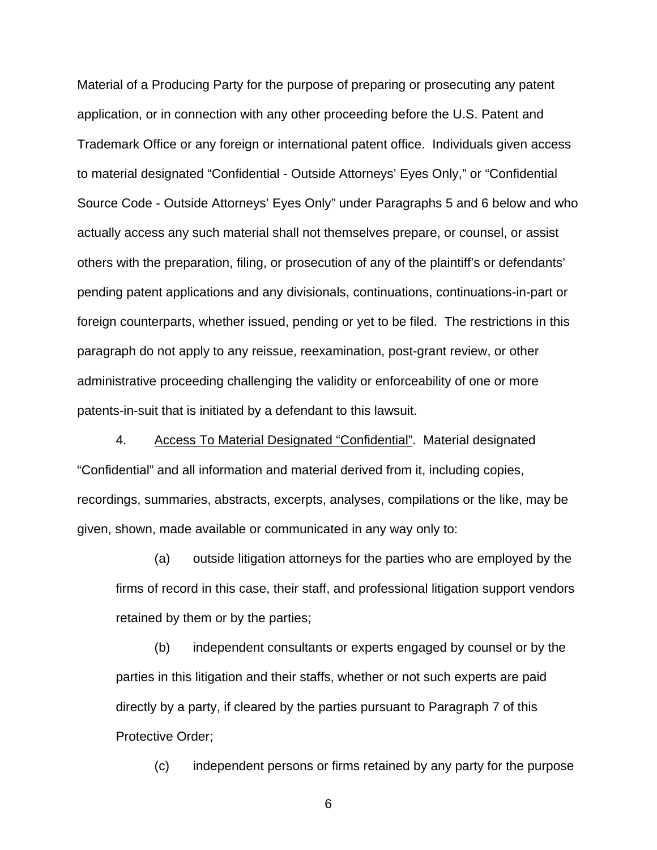Material of a Producing Party for the purpose of preparing or prosecuting any patent application, or in connection with any other proceeding before the U.S. Patent and Trademark Office or any foreign or international patent office. Individuals given access to material designated "Confidential - Outside Attorneys' Eyes Only," or "Confidential Source Code - Outside Attorneys' Eyes Only" under Paragraphs 5 and 6 below and who actually access any such material shall not themselves prepare, or counsel, or assist others with the preparation, filing, or prosecution of any of the plaintiff's or defendants' pending patent applications and any divisionals, continuations, continuations-in-part or foreign counterparts, whether issued, pending or yet to be filed. The restrictions in this paragraph do not apply to any reissue, reexamination, post-grant review, or other administrative proceeding challenging the validity or enforceability of one or more patents-in-suit that is initiated by a defendant to this lawsuit.

4. Access To Material Designated "Confidential". Material designated "Confidential" and all information and material derived from it, including copies, recordings, summaries, abstracts, excerpts, analyses, compilations or the like, may be given, shown, made available or communicated in any way only to:

(a) outside litigation attorneys for the parties who are employed by the firms of record in this case, their staff, and professional litigation support vendors retained by them or by the parties;

(b) independent consultants or experts engaged by counsel or by the parties in this litigation and their staffs, whether or not such experts are paid directly by a party, if cleared by the parties pursuant to Paragraph 7 of this Protective Order;

(c) independent persons or firms retained by any party for the purpose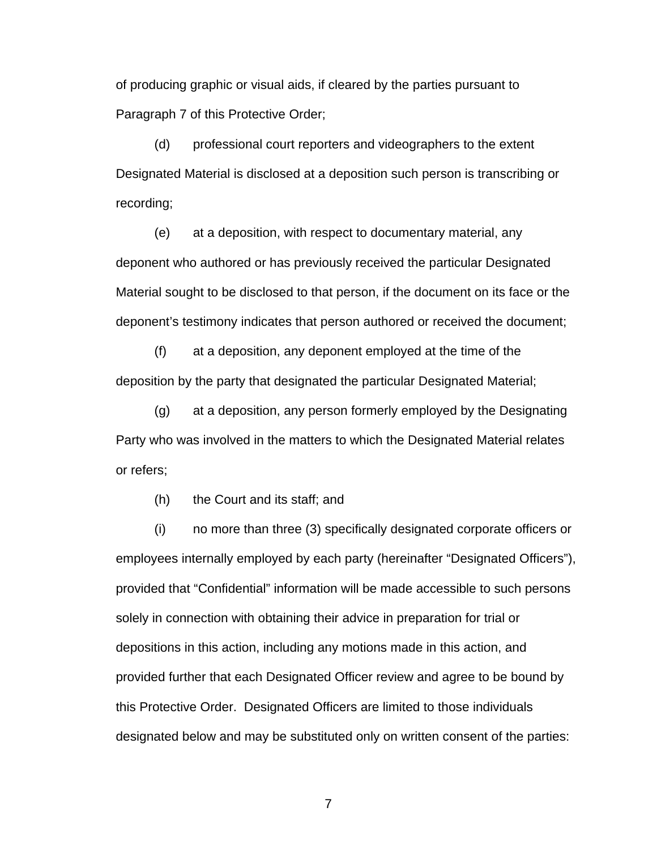of producing graphic or visual aids, if cleared by the parties pursuant to Paragraph 7 of this Protective Order;

(d) professional court reporters and videographers to the extent Designated Material is disclosed at a deposition such person is transcribing or recording;

(e) at a deposition, with respect to documentary material, any deponent who authored or has previously received the particular Designated Material sought to be disclosed to that person, if the document on its face or the deponent's testimony indicates that person authored or received the document;

(f) at a deposition, any deponent employed at the time of the deposition by the party that designated the particular Designated Material;

(g) at a deposition, any person formerly employed by the Designating Party who was involved in the matters to which the Designated Material relates or refers;

(h) the Court and its staff; and

(i) no more than three (3) specifically designated corporate officers or employees internally employed by each party (hereinafter "Designated Officers"), provided that "Confidential" information will be made accessible to such persons solely in connection with obtaining their advice in preparation for trial or depositions in this action, including any motions made in this action, and provided further that each Designated Officer review and agree to be bound by this Protective Order. Designated Officers are limited to those individuals designated below and may be substituted only on written consent of the parties: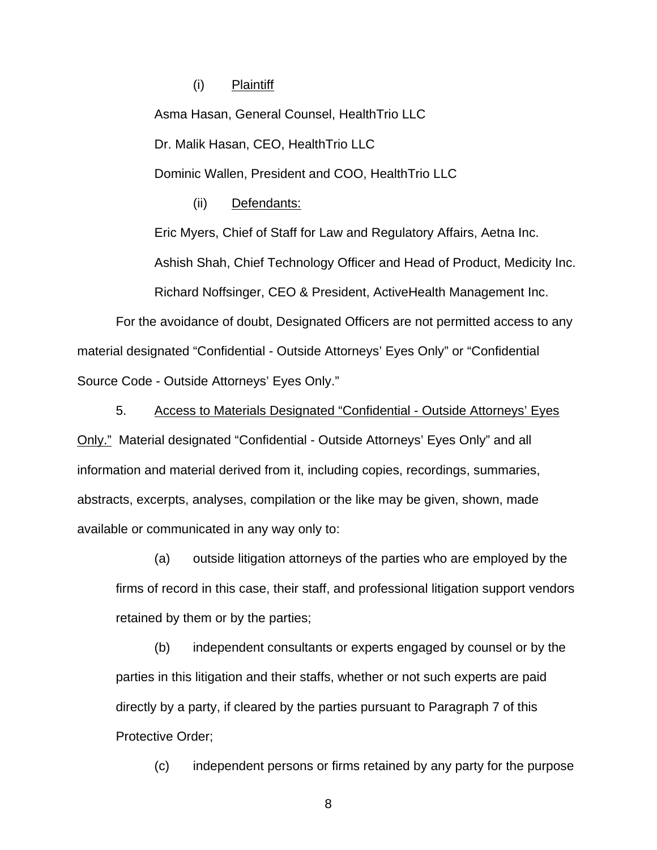(i) Plaintiff

Asma Hasan, General Counsel, HealthTrio LLC Dr. Malik Hasan, CEO, HealthTrio LLC Dominic Wallen, President and COO, HealthTrio LLC

(ii) Defendants:

Eric Myers, Chief of Staff for Law and Regulatory Affairs, Aetna Inc.

Ashish Shah, Chief Technology Officer and Head of Product, Medicity Inc.

Richard Noffsinger, CEO & President, ActiveHealth Management Inc.

For the avoidance of doubt, Designated Officers are not permitted access to any material designated "Confidential - Outside Attorneys' Eyes Only" or "Confidential Source Code - Outside Attorneys' Eyes Only."

5. Access to Materials Designated "Confidential - Outside Attorneys' Eyes Only." Material designated "Confidential - Outside Attorneys' Eyes Only" and all information and material derived from it, including copies, recordings, summaries, abstracts, excerpts, analyses, compilation or the like may be given, shown, made available or communicated in any way only to:

(a) outside litigation attorneys of the parties who are employed by the firms of record in this case, their staff, and professional litigation support vendors retained by them or by the parties;

(b) independent consultants or experts engaged by counsel or by the parties in this litigation and their staffs, whether or not such experts are paid directly by a party, if cleared by the parties pursuant to Paragraph 7 of this Protective Order;

(c) independent persons or firms retained by any party for the purpose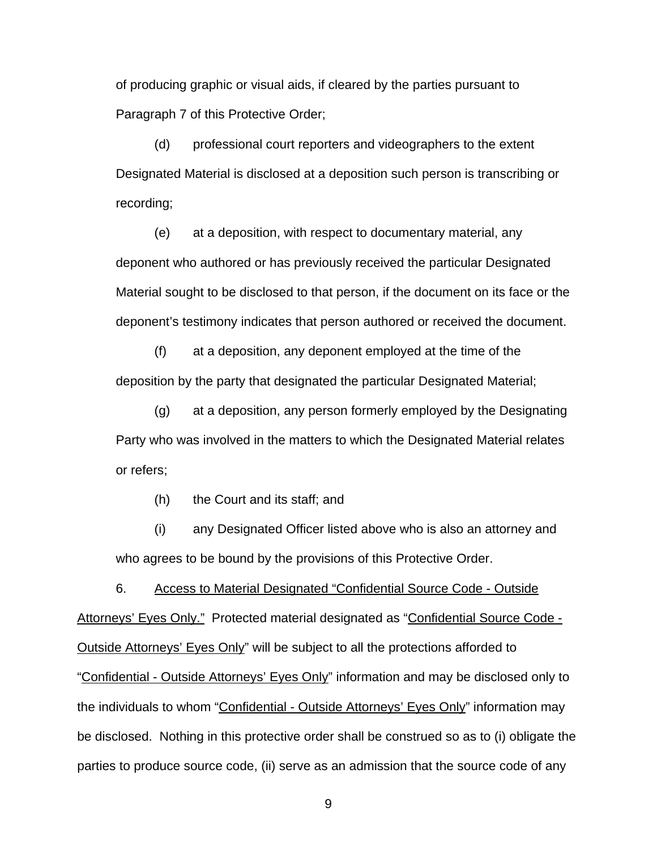of producing graphic or visual aids, if cleared by the parties pursuant to Paragraph 7 of this Protective Order;

(d) professional court reporters and videographers to the extent Designated Material is disclosed at a deposition such person is transcribing or recording;

(e) at a deposition, with respect to documentary material, any deponent who authored or has previously received the particular Designated Material sought to be disclosed to that person, if the document on its face or the deponent's testimony indicates that person authored or received the document.

(f) at a deposition, any deponent employed at the time of the deposition by the party that designated the particular Designated Material;

(g) at a deposition, any person formerly employed by the Designating Party who was involved in the matters to which the Designated Material relates or refers;

(h) the Court and its staff; and

(i) any Designated Officer listed above who is also an attorney and who agrees to be bound by the provisions of this Protective Order.

6. Access to Material Designated "Confidential Source Code - Outside Attorneys' Eyes Only." Protected material designated as "Confidential Source Code - Outside Attorneys' Eyes Only" will be subject to all the protections afforded to "Confidential - Outside Attorneys' Eyes Only" information and may be disclosed only to the individuals to whom "Confidential - Outside Attorneys' Eyes Only" information may be disclosed. Nothing in this protective order shall be construed so as to (i) obligate the parties to produce source code, (ii) serve as an admission that the source code of any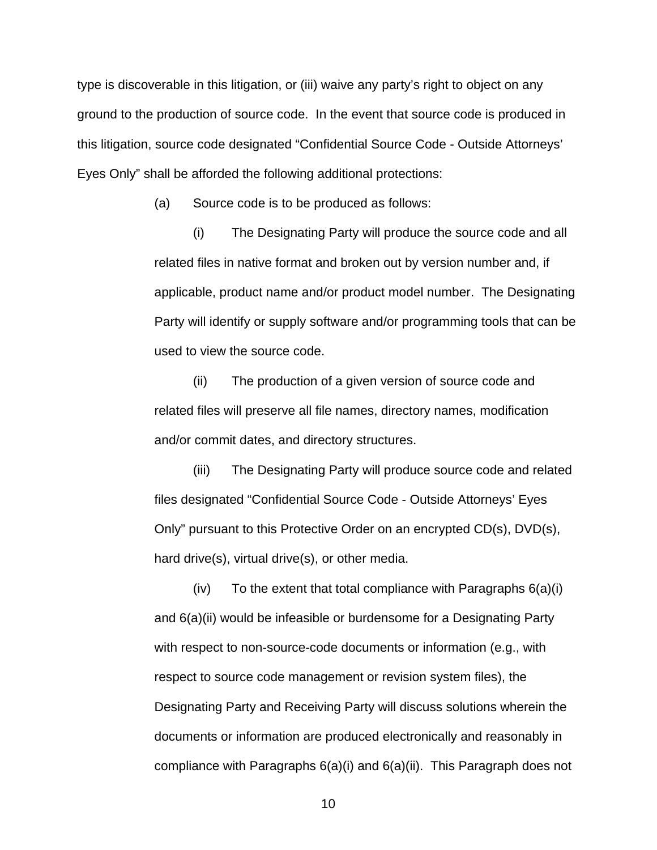type is discoverable in this litigation, or (iii) waive any party's right to object on any ground to the production of source code. In the event that source code is produced in this litigation, source code designated "Confidential Source Code - Outside Attorneys' Eyes Only" shall be afforded the following additional protections:

(a) Source code is to be produced as follows:

(i) The Designating Party will produce the source code and all related files in native format and broken out by version number and, if applicable, product name and/or product model number. The Designating Party will identify or supply software and/or programming tools that can be used to view the source code.

(ii) The production of a given version of source code and related files will preserve all file names, directory names, modification and/or commit dates, and directory structures.

(iii) The Designating Party will produce source code and related files designated "Confidential Source Code - Outside Attorneys' Eyes Only" pursuant to this Protective Order on an encrypted CD(s), DVD(s), hard drive(s), virtual drive(s), or other media.

 $(iv)$  To the extent that total compliance with Paragraphs  $6(a)(i)$ and 6(a)(ii) would be infeasible or burdensome for a Designating Party with respect to non-source-code documents or information (e.g., with respect to source code management or revision system files), the Designating Party and Receiving Party will discuss solutions wherein the documents or information are produced electronically and reasonably in compliance with Paragraphs 6(a)(i) and 6(a)(ii). This Paragraph does not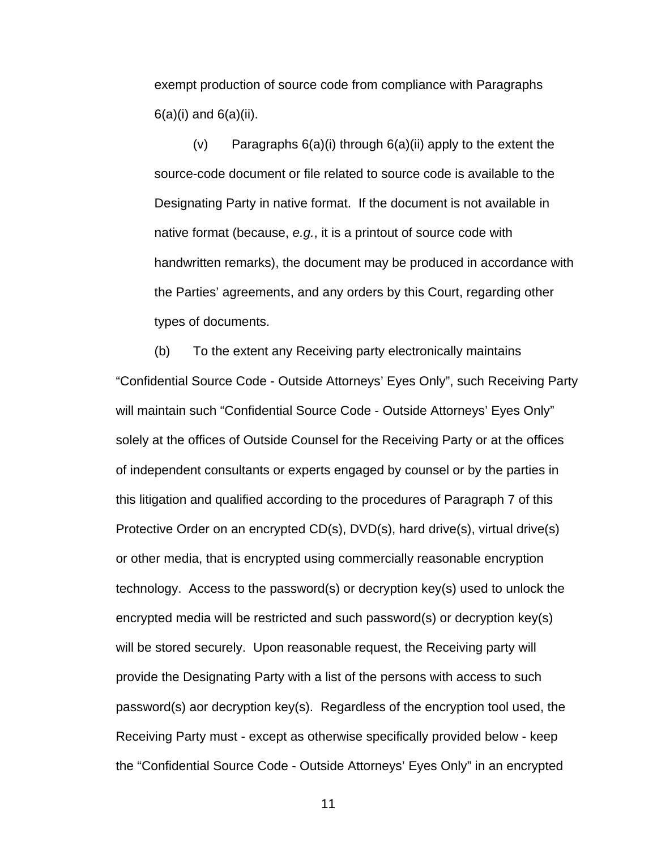exempt production of source code from compliance with Paragraphs  $6(a)(i)$  and  $6(a)(ii)$ .

(v) Paragraphs  $6(a)(i)$  through  $6(a)(ii)$  apply to the extent the source-code document or file related to source code is available to the Designating Party in native format. If the document is not available in native format (because, e.g., it is a printout of source code with handwritten remarks), the document may be produced in accordance with the Parties' agreements, and any orders by this Court, regarding other types of documents.

(b) To the extent any Receiving party electronically maintains "Confidential Source Code - Outside Attorneys' Eyes Only", such Receiving Party will maintain such "Confidential Source Code - Outside Attorneys' Eyes Only" solely at the offices of Outside Counsel for the Receiving Party or at the offices of independent consultants or experts engaged by counsel or by the parties in this litigation and qualified according to the procedures of Paragraph 7 of this Protective Order on an encrypted CD(s), DVD(s), hard drive(s), virtual drive(s) or other media, that is encrypted using commercially reasonable encryption technology. Access to the password(s) or decryption key(s) used to unlock the encrypted media will be restricted and such password(s) or decryption key(s) will be stored securely. Upon reasonable request, the Receiving party will provide the Designating Party with a list of the persons with access to such password(s) aor decryption key(s). Regardless of the encryption tool used, the Receiving Party must - except as otherwise specifically provided below - keep the "Confidential Source Code - Outside Attorneys' Eyes Only" in an encrypted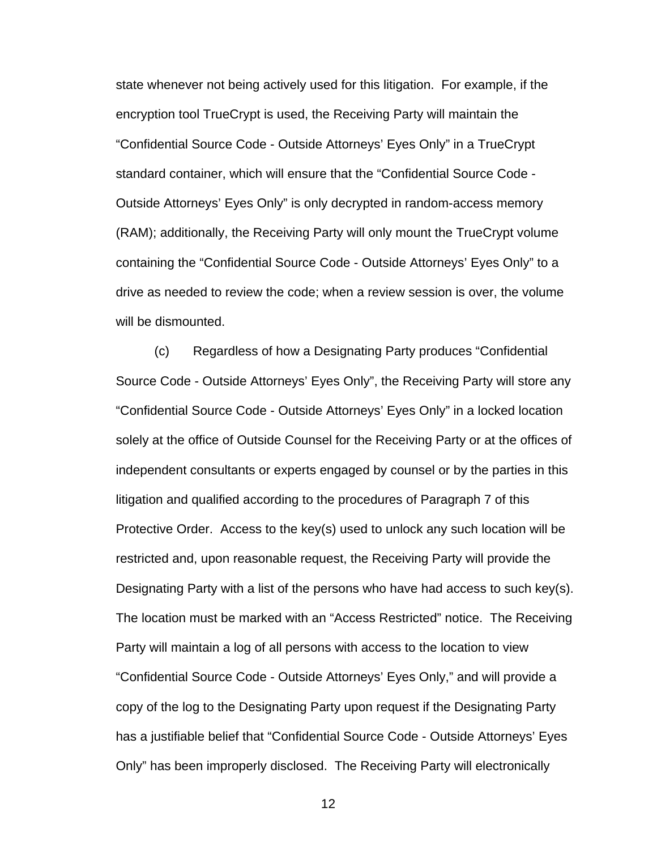state whenever not being actively used for this litigation. For example, if the encryption tool TrueCrypt is used, the Receiving Party will maintain the "Confidential Source Code - Outside Attorneys' Eyes Only" in a TrueCrypt standard container, which will ensure that the "Confidential Source Code - Outside Attorneys' Eyes Only" is only decrypted in random-access memory (RAM); additionally, the Receiving Party will only mount the TrueCrypt volume containing the "Confidential Source Code - Outside Attorneys' Eyes Only" to a drive as needed to review the code; when a review session is over, the volume will be dismounted.

(c) Regardless of how a Designating Party produces "Confidential Source Code - Outside Attorneys' Eyes Only", the Receiving Party will store any "Confidential Source Code - Outside Attorneys' Eyes Only" in a locked location solely at the office of Outside Counsel for the Receiving Party or at the offices of independent consultants or experts engaged by counsel or by the parties in this litigation and qualified according to the procedures of Paragraph 7 of this Protective Order. Access to the key(s) used to unlock any such location will be restricted and, upon reasonable request, the Receiving Party will provide the Designating Party with a list of the persons who have had access to such key(s). The location must be marked with an "Access Restricted" notice. The Receiving Party will maintain a log of all persons with access to the location to view "Confidential Source Code - Outside Attorneys' Eyes Only," and will provide a copy of the log to the Designating Party upon request if the Designating Party has a justifiable belief that "Confidential Source Code - Outside Attorneys' Eyes Only" has been improperly disclosed. The Receiving Party will electronically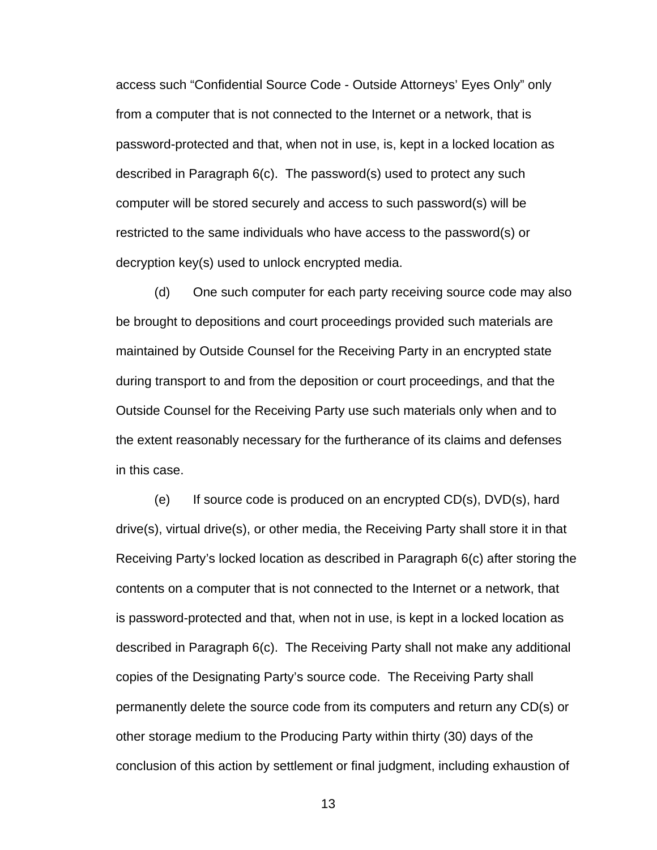access such "Confidential Source Code - Outside Attorneys' Eyes Only" only from a computer that is not connected to the Internet or a network, that is password-protected and that, when not in use, is, kept in a locked location as described in Paragraph 6(c). The password(s) used to protect any such computer will be stored securely and access to such password(s) will be restricted to the same individuals who have access to the password(s) or decryption key(s) used to unlock encrypted media.

(d) One such computer for each party receiving source code may also be brought to depositions and court proceedings provided such materials are maintained by Outside Counsel for the Receiving Party in an encrypted state during transport to and from the deposition or court proceedings, and that the Outside Counsel for the Receiving Party use such materials only when and to the extent reasonably necessary for the furtherance of its claims and defenses in this case.

(e) If source code is produced on an encrypted  $CD(s)$ ,  $DVD(s)$ , hard drive(s), virtual drive(s), or other media, the Receiving Party shall store it in that Receiving Party's locked location as described in Paragraph 6(c) after storing the contents on a computer that is not connected to the Internet or a network, that is password-protected and that, when not in use, is kept in a locked location as described in Paragraph 6(c). The Receiving Party shall not make any additional copies of the Designating Party's source code. The Receiving Party shall permanently delete the source code from its computers and return any CD(s) or other storage medium to the Producing Party within thirty (30) days of the conclusion of this action by settlement or final judgment, including exhaustion of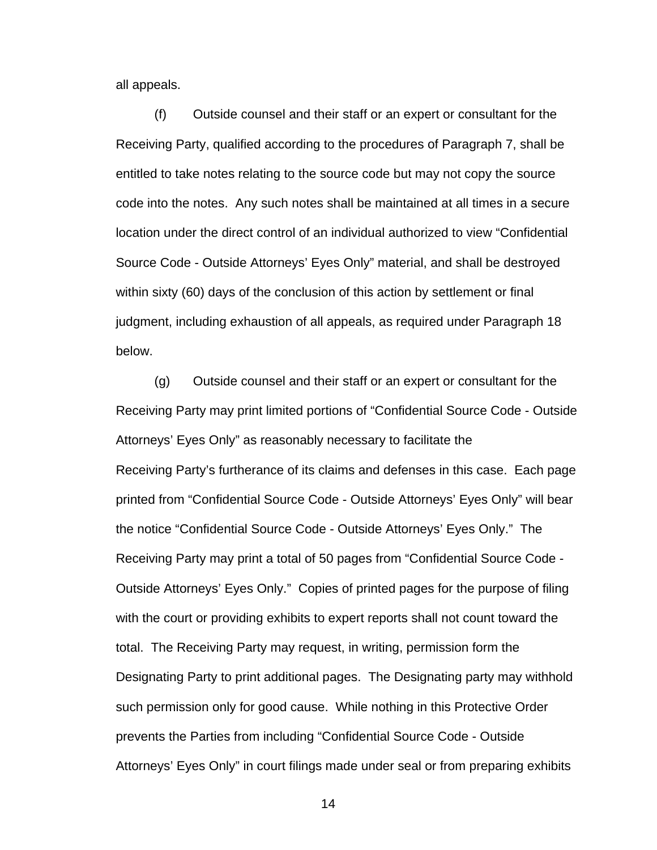all appeals.

(f) Outside counsel and their staff or an expert or consultant for the Receiving Party, qualified according to the procedures of Paragraph 7, shall be entitled to take notes relating to the source code but may not copy the source code into the notes. Any such notes shall be maintained at all times in a secure location under the direct control of an individual authorized to view "Confidential Source Code - Outside Attorneys' Eyes Only" material, and shall be destroyed within sixty (60) days of the conclusion of this action by settlement or final judgment, including exhaustion of all appeals, as required under Paragraph 18 below.

(g) Outside counsel and their staff or an expert or consultant for the Receiving Party may print limited portions of "Confidential Source Code - Outside Attorneys' Eyes Only" as reasonably necessary to facilitate the Receiving Party's furtherance of its claims and defenses in this case. Each page printed from "Confidential Source Code - Outside Attorneys' Eyes Only" will bear the notice "Confidential Source Code - Outside Attorneys' Eyes Only." The Receiving Party may print a total of 50 pages from "Confidential Source Code - Outside Attorneys' Eyes Only." Copies of printed pages for the purpose of filing with the court or providing exhibits to expert reports shall not count toward the total. The Receiving Party may request, in writing, permission form the Designating Party to print additional pages. The Designating party may withhold such permission only for good cause. While nothing in this Protective Order prevents the Parties from including "Confidential Source Code - Outside Attorneys' Eyes Only" in court filings made under seal or from preparing exhibits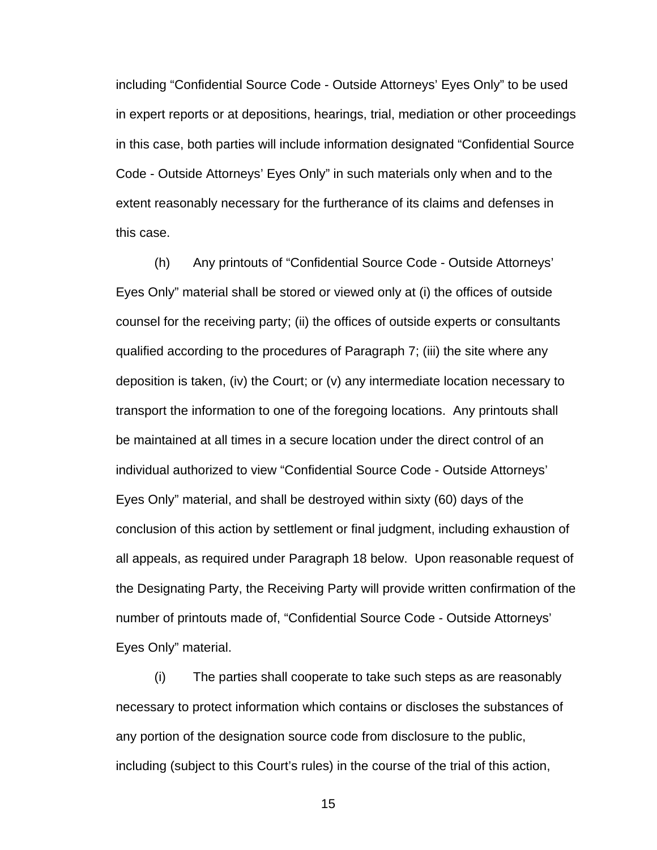including "Confidential Source Code - Outside Attorneys' Eyes Only" to be used in expert reports or at depositions, hearings, trial, mediation or other proceedings in this case, both parties will include information designated "Confidential Source Code - Outside Attorneys' Eyes Only" in such materials only when and to the extent reasonably necessary for the furtherance of its claims and defenses in this case.

(h) Any printouts of "Confidential Source Code - Outside Attorneys' Eyes Only" material shall be stored or viewed only at (i) the offices of outside counsel for the receiving party; (ii) the offices of outside experts or consultants qualified according to the procedures of Paragraph 7; (iii) the site where any deposition is taken, (iv) the Court; or (v) any intermediate location necessary to transport the information to one of the foregoing locations. Any printouts shall be maintained at all times in a secure location under the direct control of an individual authorized to view "Confidential Source Code - Outside Attorneys' Eyes Only" material, and shall be destroyed within sixty (60) days of the conclusion of this action by settlement or final judgment, including exhaustion of all appeals, as required under Paragraph 18 below. Upon reasonable request of the Designating Party, the Receiving Party will provide written confirmation of the number of printouts made of, "Confidential Source Code - Outside Attorneys' Eyes Only" material.

(i) The parties shall cooperate to take such steps as are reasonably necessary to protect information which contains or discloses the substances of any portion of the designation source code from disclosure to the public, including (subject to this Court's rules) in the course of the trial of this action,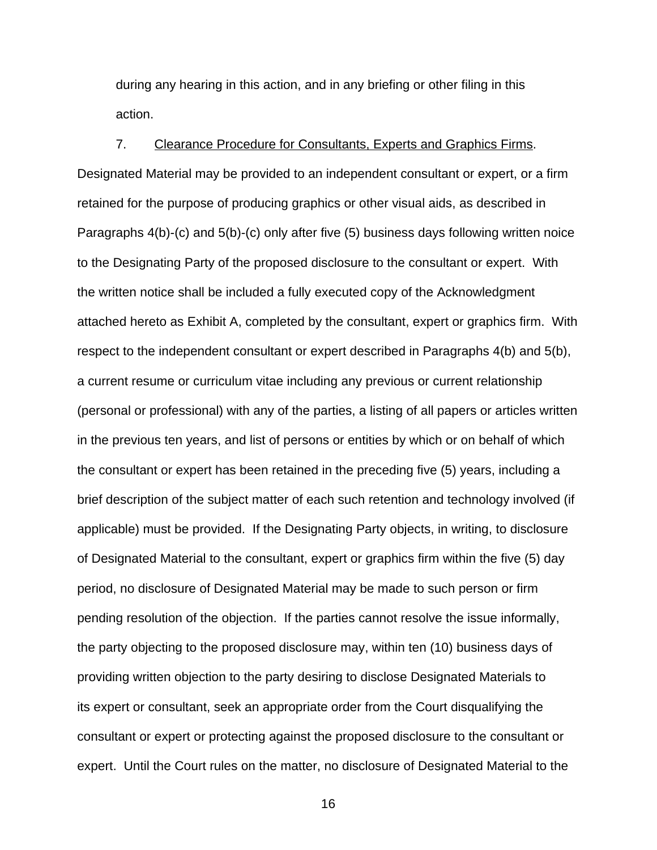during any hearing in this action, and in any briefing or other filing in this action.

7. Clearance Procedure for Consultants, Experts and Graphics Firms. Designated Material may be provided to an independent consultant or expert, or a firm retained for the purpose of producing graphics or other visual aids, as described in Paragraphs 4(b)-(c) and 5(b)-(c) only after five (5) business days following written noice to the Designating Party of the proposed disclosure to the consultant or expert. With the written notice shall be included a fully executed copy of the Acknowledgment attached hereto as Exhibit A, completed by the consultant, expert or graphics firm. With respect to the independent consultant or expert described in Paragraphs 4(b) and 5(b), a current resume or curriculum vitae including any previous or current relationship (personal or professional) with any of the parties, a listing of all papers or articles written in the previous ten years, and list of persons or entities by which or on behalf of which the consultant or expert has been retained in the preceding five (5) years, including a brief description of the subject matter of each such retention and technology involved (if applicable) must be provided. If the Designating Party objects, in writing, to disclosure of Designated Material to the consultant, expert or graphics firm within the five (5) day period, no disclosure of Designated Material may be made to such person or firm pending resolution of the objection. If the parties cannot resolve the issue informally, the party objecting to the proposed disclosure may, within ten (10) business days of providing written objection to the party desiring to disclose Designated Materials to its expert or consultant, seek an appropriate order from the Court disqualifying the consultant or expert or protecting against the proposed disclosure to the consultant or expert. Until the Court rules on the matter, no disclosure of Designated Material to the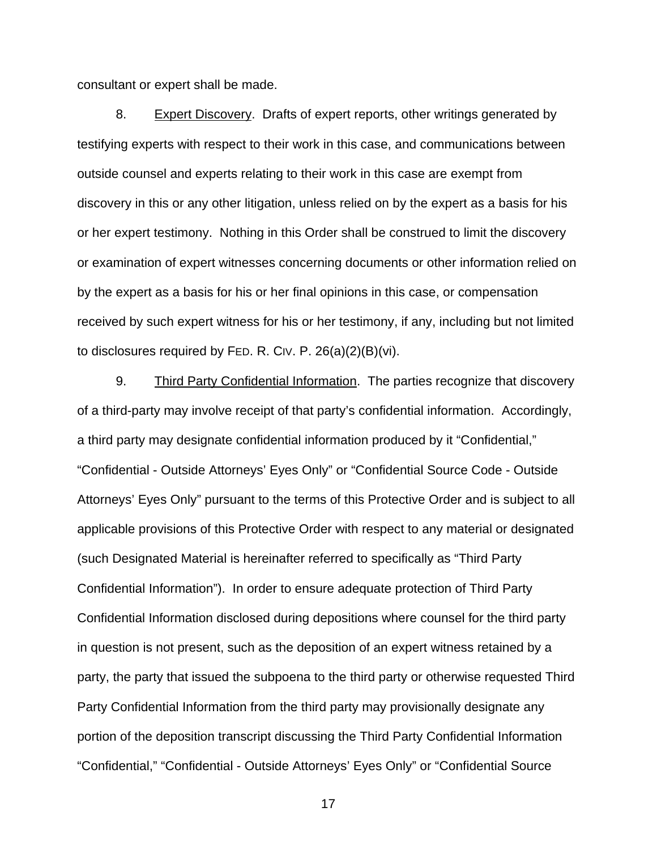consultant or expert shall be made.

8. Expert Discovery. Drafts of expert reports, other writings generated by testifying experts with respect to their work in this case, and communications between outside counsel and experts relating to their work in this case are exempt from discovery in this or any other litigation, unless relied on by the expert as a basis for his or her expert testimony. Nothing in this Order shall be construed to limit the discovery or examination of expert witnesses concerning documents or other information relied on by the expert as a basis for his or her final opinions in this case, or compensation received by such expert witness for his or her testimony, if any, including but not limited to disclosures required by FED. R. CIV. P. 26(a)(2)(B)(vi).

9. Third Party Confidential Information. The parties recognize that discovery of a third-party may involve receipt of that party's confidential information. Accordingly, a third party may designate confidential information produced by it "Confidential," "Confidential - Outside Attorneys' Eyes Only" or "Confidential Source Code - Outside Attorneys' Eyes Only" pursuant to the terms of this Protective Order and is subject to all applicable provisions of this Protective Order with respect to any material or designated (such Designated Material is hereinafter referred to specifically as "Third Party Confidential Information"). In order to ensure adequate protection of Third Party Confidential Information disclosed during depositions where counsel for the third party in question is not present, such as the deposition of an expert witness retained by a party, the party that issued the subpoena to the third party or otherwise requested Third Party Confidential Information from the third party may provisionally designate any portion of the deposition transcript discussing the Third Party Confidential Information "Confidential," "Confidential - Outside Attorneys' Eyes Only" or "Confidential Source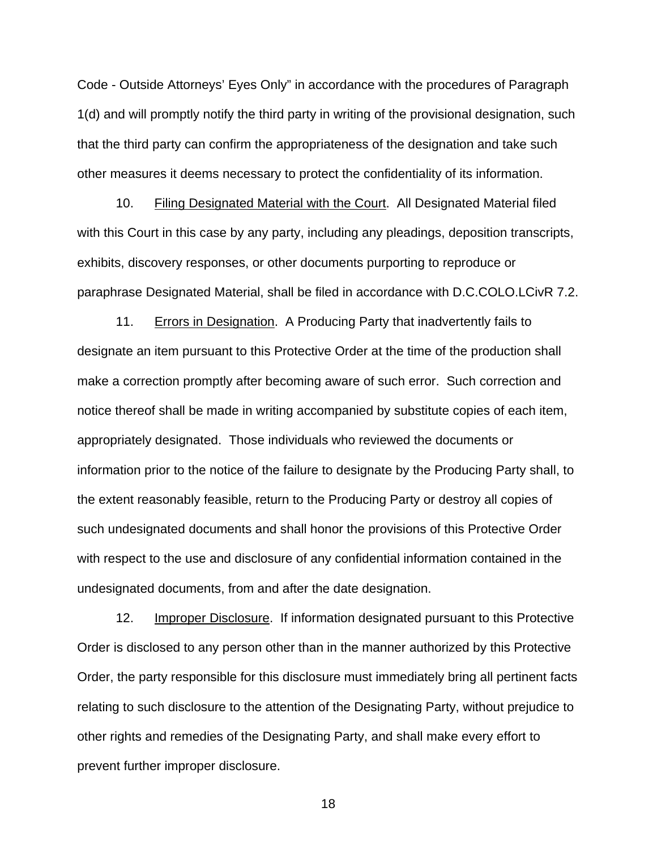Code - Outside Attorneys' Eyes Only" in accordance with the procedures of Paragraph 1(d) and will promptly notify the third party in writing of the provisional designation, such that the third party can confirm the appropriateness of the designation and take such other measures it deems necessary to protect the confidentiality of its information.

10. Filing Designated Material with the Court. All Designated Material filed with this Court in this case by any party, including any pleadings, deposition transcripts, exhibits, discovery responses, or other documents purporting to reproduce or paraphrase Designated Material, shall be filed in accordance with D.C.COLO.LCivR 7.2.

11. Errors in Designation. A Producing Party that inadvertently fails to designate an item pursuant to this Protective Order at the time of the production shall make a correction promptly after becoming aware of such error. Such correction and notice thereof shall be made in writing accompanied by substitute copies of each item, appropriately designated. Those individuals who reviewed the documents or information prior to the notice of the failure to designate by the Producing Party shall, to the extent reasonably feasible, return to the Producing Party or destroy all copies of such undesignated documents and shall honor the provisions of this Protective Order with respect to the use and disclosure of any confidential information contained in the undesignated documents, from and after the date designation.

12. Improper Disclosure. If information designated pursuant to this Protective Order is disclosed to any person other than in the manner authorized by this Protective Order, the party responsible for this disclosure must immediately bring all pertinent facts relating to such disclosure to the attention of the Designating Party, without prejudice to other rights and remedies of the Designating Party, and shall make every effort to prevent further improper disclosure.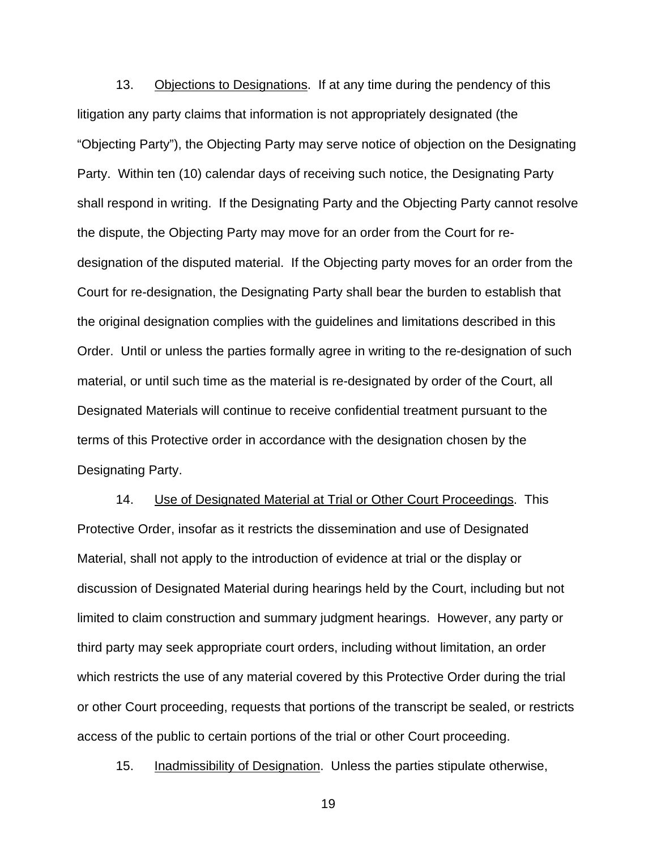13. Objections to Designations. If at any time during the pendency of this litigation any party claims that information is not appropriately designated (the "Objecting Party"), the Objecting Party may serve notice of objection on the Designating Party. Within ten (10) calendar days of receiving such notice, the Designating Party shall respond in writing. If the Designating Party and the Objecting Party cannot resolve the dispute, the Objecting Party may move for an order from the Court for redesignation of the disputed material. If the Objecting party moves for an order from the Court for re-designation, the Designating Party shall bear the burden to establish that the original designation complies with the guidelines and limitations described in this Order. Until or unless the parties formally agree in writing to the re-designation of such material, or until such time as the material is re-designated by order of the Court, all Designated Materials will continue to receive confidential treatment pursuant to the terms of this Protective order in accordance with the designation chosen by the Designating Party.

14. Use of Designated Material at Trial or Other Court Proceedings. This Protective Order, insofar as it restricts the dissemination and use of Designated Material, shall not apply to the introduction of evidence at trial or the display or discussion of Designated Material during hearings held by the Court, including but not limited to claim construction and summary judgment hearings. However, any party or third party may seek appropriate court orders, including without limitation, an order which restricts the use of any material covered by this Protective Order during the trial or other Court proceeding, requests that portions of the transcript be sealed, or restricts access of the public to certain portions of the trial or other Court proceeding.

15. Inadmissibility of Designation. Unless the parties stipulate otherwise,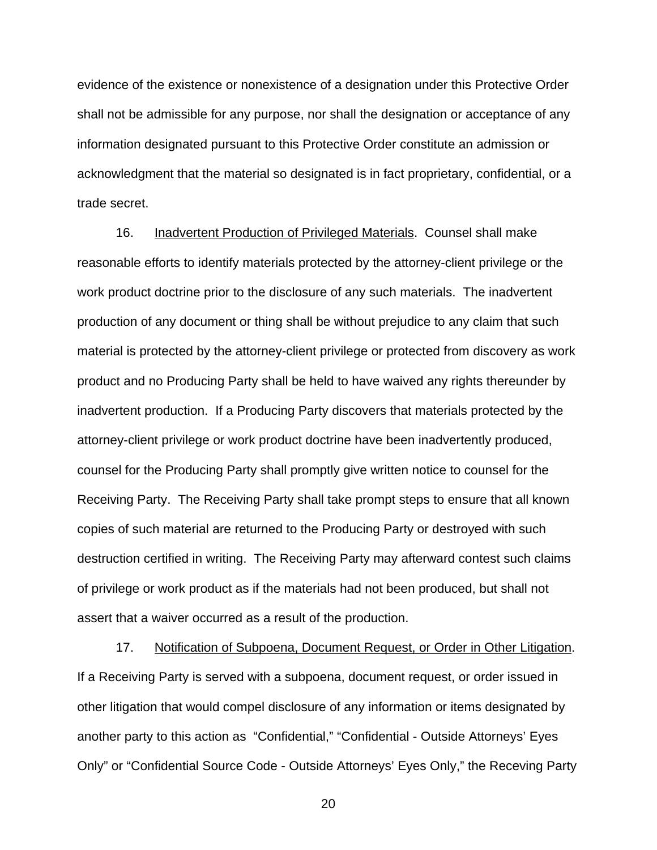evidence of the existence or nonexistence of a designation under this Protective Order shall not be admissible for any purpose, nor shall the designation or acceptance of any information designated pursuant to this Protective Order constitute an admission or acknowledgment that the material so designated is in fact proprietary, confidential, or a trade secret.

16. Inadvertent Production of Privileged Materials. Counsel shall make reasonable efforts to identify materials protected by the attorney-client privilege or the work product doctrine prior to the disclosure of any such materials. The inadvertent production of any document or thing shall be without prejudice to any claim that such material is protected by the attorney-client privilege or protected from discovery as work product and no Producing Party shall be held to have waived any rights thereunder by inadvertent production. If a Producing Party discovers that materials protected by the attorney-client privilege or work product doctrine have been inadvertently produced, counsel for the Producing Party shall promptly give written notice to counsel for the Receiving Party. The Receiving Party shall take prompt steps to ensure that all known copies of such material are returned to the Producing Party or destroyed with such destruction certified in writing. The Receiving Party may afterward contest such claims of privilege or work product as if the materials had not been produced, but shall not assert that a waiver occurred as a result of the production.

17. Notification of Subpoena, Document Request, or Order in Other Litigation. If a Receiving Party is served with a subpoena, document request, or order issued in other litigation that would compel disclosure of any information or items designated by another party to this action as "Confidential," "Confidential - Outside Attorneys' Eyes Only" or "Confidential Source Code - Outside Attorneys' Eyes Only," the Receving Party